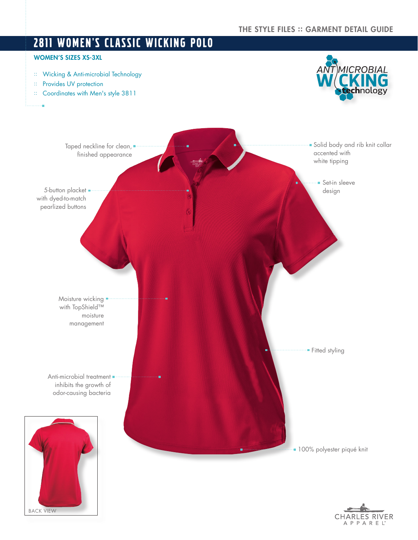# 2811 WOMEN'S CLASSIC WICKING POLO WOMEN'S SIZES XS-3XL MICROBIAL :: Wicking & Anti-microbial Technology :: Provides UV protection nology :: Coordinates with Men's style 3811 à. **Solid body and rib knit collar** Taped neckline for clean, accented with finished appearance white tipping **Set-in sleeve** 5-button placket . design with dyed-to-match pearlized buttons Moisture wicking  $\blacksquare$ with TopShield™ moisture management **Fitted styling** Anti-microbial treatment = inhibits the growth of odor-causing bacteria **100% polyester piqué knit**

BACK VIEW